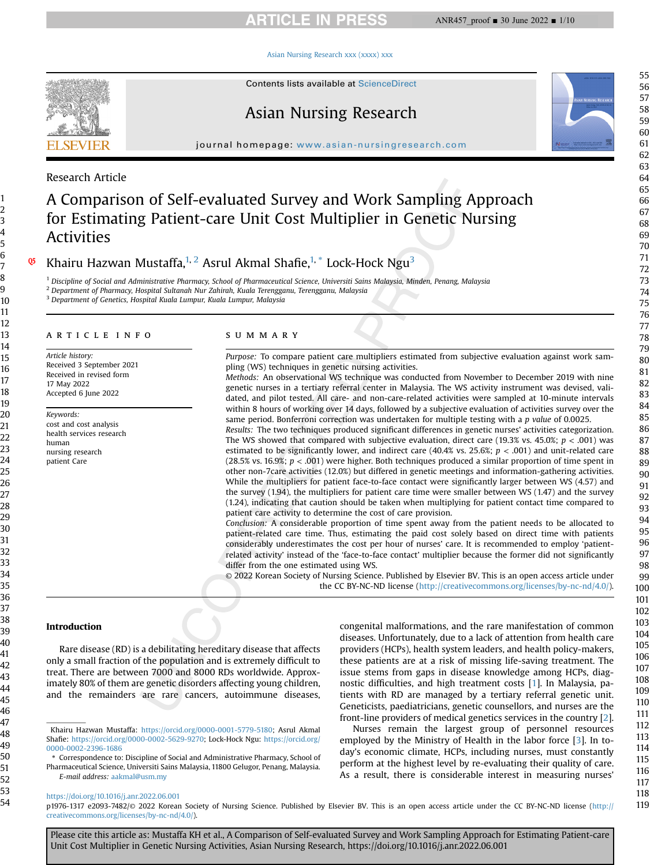# **ARTICLE IN PRESS**

#### [Asian Nursing Research xxx \(xxxx\) xxx](https://doi.org/10.1016/j.anr.2022.06.001)



Contents lists available at ScienceDirect

# Asian Nursing Research

journal homepage: [www.asian-nursingresearch.com](http://www.asian-nursingresearch.com)

### Research Article

Q5

# A Comparison of Self-evaluated Survey and Work Sampling Approach for Estimating Patient-care Unit Cost Multiplier in Genetic Nursing Activities

Khairu Hazwan Mustaffa, $1, 2$  $1, 2$  Asrul Akmal Shafie, $1, *$  Lock-Hock Ngu<sup>[3](#page-0-2)</sup>

<span id="page-0-0"></span> $1$  Discipline of Social and Administrative Pharmacy, School of Pharmaceutical Science, Universiti Sains Malaysia, Minden, Penang, Malaysia

<span id="page-0-1"></span><sup>2</sup> Department of Pharmacy, Hospital Sultanah Nur Zahirah, Kuala Terengganu, Terengganu, Malaysia

<span id="page-0-2"></span><sup>3</sup> Department of Genetics, Hospital Kuala Lumpur, Kuala Lumpur, Malaysia

# article info

Article history: Received 3 September 2021 Received in revised form 17 May 2022 Accepted 6 June 2022

Keywords: cost and cost analysis health services research human nursing research patient Care

### summary

Purpose: To compare patient care multipliers estimated from subjective evaluation against work sampling (WS) techniques in genetic nursing activities.

Methods: An observational WS technique was conducted from November to December 2019 with nine genetic nurses in a tertiary referral center in Malaysia. The WS activity instrument was devised, validated, and pilot tested. All care- and non-care-related activities were sampled at 10-minute intervals within 8 hours of working over 14 days, followed by a subjective evaluation of activities survey over the same period. Bonferroni correction was undertaken for multiple testing with a p value of 0.0025.

Results: The two techniques produced significant differences in genetic nurses' activities categorization. The WS showed that compared with subjective evaluation, direct care (19.3% vs. 45.0%;  $p < .001$ ) was estimated to be significantly lower, and indirect care (40.4% vs. 25.6%;  $p < .001$ ) and unit-related care (28.5% vs. 16.9%;  $p < .001$ ) were higher. Both techniques produced a similar proportion of time spent in other non-7care activities (12.0%) but differed in genetic meetings and information-gathering activities. While the multipliers for patient face-to-face contact were significantly larger between WS (4.57) and the survey (1.94), the multipliers for patient care time were smaller between WS (1.47) and the survey (1.24), indicating that caution should be taken when multiplying for patient contact time compared to patient care activity to determine the cost of care provision.

Conclusion: A considerable proportion of time spent away from the patient needs to be allocated to patient-related care time. Thus, estimating the paid cost solely based on direct time with patients considerably underestimates the cost per hour of nurses' care. It is recommended to employ 'patientrelated activity' instead of the 'face-to-face contact' multiplier because the former did not significantly differ from the one estimated using WS.

© 2022 Korean Society of Nursing Science. Published by Elsevier BV. This is an open access article under the CC BY-NC-ND license [\(http://creativecommons.org/licenses/by-nc-nd/4.0/](http://creativecommons.org/licenses/by-nc-nd/4.0/)).

#### Introduction

Rare disease (RD) is a debilitating hereditary disease that affects only a small fraction of the population and is extremely difficult to treat. There are between 7000 and 8000 RDs worldwide. Approximately 80% of them are genetic disorders affecting young children, and the remainders are rare cancers, autoimmune diseases,

\* Correspondence to: Discipline of Social and Administrative Pharmacy, School of Pharmaceutical Science, Universiti Sains Malaysia, 11800 Gelugor, Penang, Malaysia. E-mail address: [aakmal@usm.my](mailto:aakmal@usm.my)

<https://doi.org/10.1016/j.anr.2022.06.001>

congenital malformations, and the rare manifestation of common diseases. Unfortunately, due to a lack of attention from health care providers (HCPs), health system leaders, and health policy-makers, these patients are at a risk of missing life-saving treatment. The issue stems from gaps in disease knowledge among HCPs, diagnostic difficulties, and high treatment costs [\[1](#page-8-0)]. In Malaysia, patients with RD are managed by a tertiary referral genetic unit. Geneticists, paediatricians, genetic counsellors, and nurses are the front-line providers of medical genetics services in the country [\[2\]](#page-8-1).

Nurses remain the largest group of personnel resources employed by the Ministry of Health in the labor force [\[3\]](#page-8-2). In today's economic climate, HCPs, including nurses, must constantly perform at the highest level by re-evaluating their quality of care. As a result, there is considerable interest in measuring nurses'

[creativecommons.org/licenses/by-nc-nd/4.0/](http://creativecommons.org/licenses/by-nc-nd/4.0/)). Please cite this article as: Mustaffa KH et al., A Comparison of Self-evaluated Survey and Work Sampling Approach for Estimating Patient-care Unit Cost Multiplier in Genetic Nursing Activities, Asian Nursing Research, https://doi.org/10.1016/j.anr.2022.06.001

p1976-1317 e2093-7482/© 2022 Korean Society of Nursing Science. Published by Elsevier BV. This is an open access article under the CC BY-NC-ND license ([http://](http://creativecommons.org/licenses/by-nc-nd/4.0/)

Khairu Hazwan Mustaffa: [https://orcid.org/0000-0001-5779-5180;](https://orcid.org/0000-0001-5779-5180) Asrul Akmal Shafie: [https://orcid.org/0000-0002-5629-9270;](https://orcid.org/0000-0002-5629-9270) Lock-Hock Ngu: [https://orcid.org/](https://orcid.org/0000-0002-2396-1686) [0000-0002-2396-1686](https://orcid.org/0000-0002-2396-1686)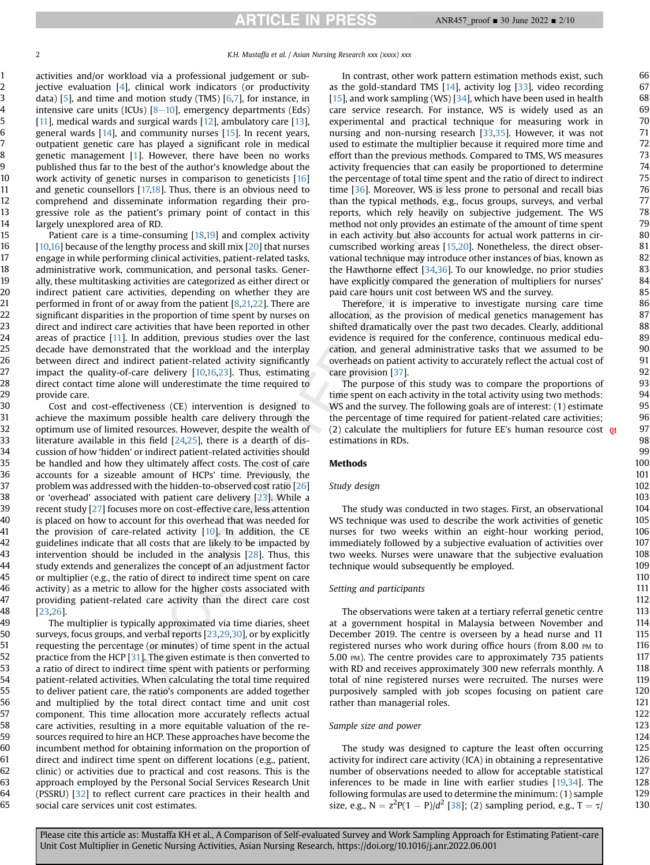activities and/or workload via a professional judgement or subjective evaluation [[4](#page-8-3)], clinical work indicators (or productivity data) [\[5\]](#page-8-4), and time and motion study (TMS)  $[6,7]$  $[6,7]$ , for instance, in intensive care units (ICUs)  $[8-10]$  $[8-10]$  $[8-10]$  $[8-10]$ , emergency departments (Eds) [[11](#page-8-8)], medical wards and surgical wards [\[12\]](#page-8-9), ambulatory care [\[13](#page-9-0)], general wards [[14\]](#page-9-1), and community nurses [[15\]](#page-9-2). In recent years, outpatient genetic care has played a significant role in medical genetic management [\[1\]](#page-8-0). However, there have been no works published thus far to the best of the author's knowledge about the work activity of genetic nurses in comparison to geneticists [[16\]](#page-9-3) and genetic counsellors [\[17,](#page-9-4)[18](#page-9-5)]. Thus, there is an obvious need to comprehend and disseminate information regarding their progressive role as the patient's primary point of contact in this largely unexplored area of RD.

Patient care is a time-consuming [\[18](#page-9-5),[19](#page-9-6)] and complex activity [[10,](#page-8-10)[16\]](#page-9-3) because of the lengthy process and skill mix [[20](#page-9-7)] that nurses engage in while performing clinical activities, patient-related tasks, administrative work, communication, and personal tasks. Generally, these multitasking activities are categorized as either direct or indirect patient care activities, depending on whether they are performed in front of or away from the patient [[8](#page-8-7)[,21,](#page-9-8)[22](#page-9-9)]. There are significant disparities in the proportion of time spent by nurses on direct and indirect care activities that have been reported in other areas of practice [\[11\]](#page-8-8). In addition, previous studies over the last decade have demonstrated that the workload and the interplay between direct and indirect patient-related activity significantly impact the quality-of-care delivery [\[10,](#page-8-10)[16](#page-9-3)[,23\]](#page-9-10). Thus, estimating direct contact time alone will underestimate the time required to provide care.

Cost and cost-effectiveness (CE) intervention is designed to achieve the maximum possible health care delivery through the optimum use of limited resources. However, despite the wealth of literature available in this field [\[24,](#page-9-11)[25\]](#page-9-12), there is a dearth of discussion of how 'hidden' or indirect patient-related activities should be handled and how they ultimately affect costs. The cost of care accounts for a sizeable amount of HCPs' time. Previously, the problem was addressed with the hidden-to-observed cost ratio [\[26\]](#page-9-13) or 'overhead' associated with patient care delivery [[23](#page-9-10)]. While a recent study [\[27\]](#page-9-14) focuses more on cost-effective care, less attention is placed on how to account for this overhead that was needed for the provision of care-related activity [\[10](#page-8-10)]. In addition, the CE guidelines indicate that all costs that are likely to be impacted by intervention should be included in the analysis [[28\]](#page-9-15). Thus, this study extends and generalizes the concept of an adjustment factor or multiplier (e.g., the ratio of direct to indirect time spent on care activity) as a metric to allow for the higher costs associated with providing patient-related care activity than the direct care cost [[23](#page-9-10)[,26\]](#page-9-13).

The multiplier is typically approximated via time diaries, sheet surveys, focus groups, and verbal reports [[23](#page-9-10)[,29,](#page-9-16)[30\]](#page-9-17), or by explicitly requesting the percentage (or minutes) of time spent in the actual practice from the HCP [\[31](#page-9-18)]. The given estimate is then converted to a ratio of direct to indirect time spent with patients or performing patient-related activities. When calculating the total time required to deliver patient care, the ratio's components are added together and multiplied by the total direct contact time and unit cost component. This time allocation more accurately reflects actual care activities, resulting in a more equitable valuation of the resources required to hire an HCP. These approaches have become the incumbent method for obtaining information on the proportion of direct and indirect time spent on different locations (e.g., patient, clinic) or activities due to practical and cost reasons. This is the approach employed by the Personal Social Services Research Unit (PSSRU) [\[32\]](#page-9-19) to reflect current care practices in their health and social care services unit cost estimates.

In contrast, other work pattern estimation methods exist, such as the gold-standard TMS [\[14](#page-9-1)], activity log [[33](#page-9-20)], video recording [[15\]](#page-9-2), and work sampling (WS)  $[34]$ , which have been used in health care service research. For instance, WS is widely used as an experimental and practical technique for measuring work in nursing and non-nursing research [[33](#page-9-20)[,35](#page-9-22)]. However, it was not used to estimate the multiplier because it required more time and effort than the previous methods. Compared to TMS, WS measures activity frequencies that can easily be proportioned to determine the percentage of total time spent and the ratio of direct to indirect time [\[36\]](#page-9-23). Moreover, WS is less prone to personal and recall bias than the typical methods, e.g., focus groups, surveys, and verbal reports, which rely heavily on subjective judgement. The WS method not only provides an estimate of the amount of time spent in each activity but also accounts for actual work patterns in circumscribed working areas [\[15,](#page-9-2)[20](#page-9-7)]. Nonetheless, the direct observational technique may introduce other instances of bias, known as the Hawthorne effect [\[34,](#page-9-21)[36](#page-9-23)]. To our knowledge, no prior studies have explicitly compared the generation of multipliers for nurses' paid care hours unit cost between WS and the survey.

Therefore, it is imperative to investigate nursing care time allocation, as the provision of medical genetics management has shifted dramatically over the past two decades. Clearly, additional evidence is required for the conference, continuous medical education, and general administrative tasks that we assumed to be overheads on patient activity to accurately reflect the actual cost of care provision [[37\]](#page-9-24).

The purpose of this study was to compare the proportions of time spent on each activity in the total activity using two methods: WS and the survey. The following goals are of interest: (1) estimate the percentage of time required for patient-related care activities; (2) calculate the multipliers for future EE's human resource cost  $q_1$ estimations in RDs.

### Methods

#### Study design

The study was conducted in two stages. First, an observational WS technique was used to describe the work activities of genetic nurses for two weeks within an eight-hour working period, immediately followed by a subjective evaluation of activities over two weeks. Nurses were unaware that the subjective evaluation technique would subsequently be employed.

#### Setting and participants

The observations were taken at a tertiary referral genetic centre at a government hospital in Malaysia between November and December 2019. The centre is overseen by a head nurse and 11 registered nurses who work during office hours (from 8.00 PM to 5.00 PM). The centre provides care to approximately 735 patients with RD and receives approximately 300 new referrals monthly. A total of nine registered nurses were recruited. The nurses were purposively sampled with job scopes focusing on patient care rather than managerial roles.

#### Sample size and power

The study was designed to capture the least often occurring activity for indirect care activity (ICA) in obtaining a representative number of observations needed to allow for acceptable statistical inferences to be made in line with earlier studies [[19,](#page-9-6)[34\]](#page-9-21). The following formulas are used to determine the minimum: (1) sample size, e.g.,  $N = z^2P(1 - P)/d^2$  [\[38\]](#page-9-25); (2) sampling period, e.g.,  $T = \tau$ /

130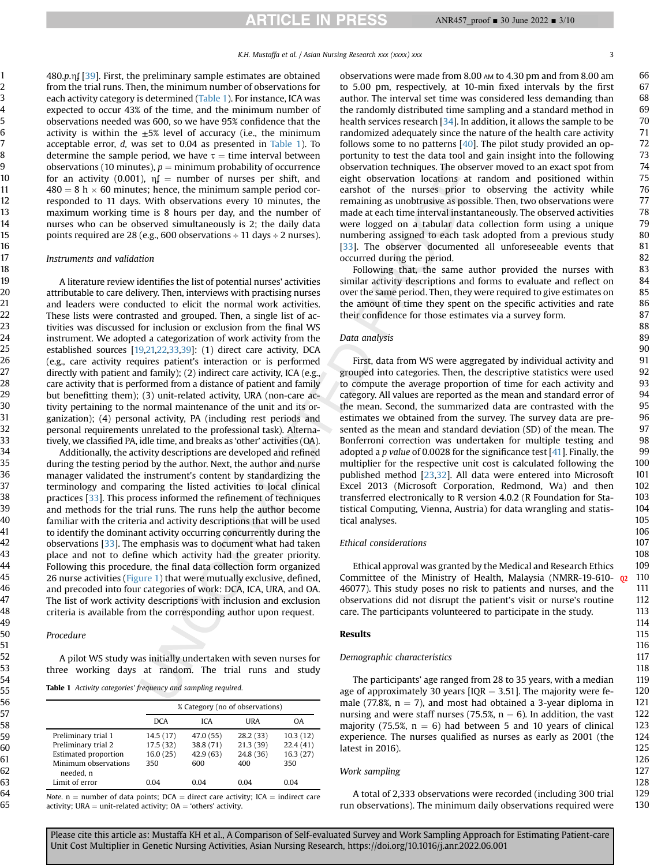480.p.n $\int$  [[39](#page-9-26)]. First, the preliminary sample estimates are obtained from the trial runs. Then, the minimum number of observations for each activity category is determined [\(Table 1\)](#page-2-0). For instance, ICA was expected to occur 43% of the time, and the minimum number of observations needed was 600, so we have 95% confidence that the activity is within the  $\pm 5\%$  level of accuracy (i.e., the minimum acceptable error, d, was set to 0.04 as presented in [Table 1](#page-2-0)). To determine the sample period, we have  $\tau$  = time interval between observations (10 minutes),  $p =$  minimum probability of occurrence for an activity (0.001),  $nf = number of nurses per shift, and$  $480 = 8 h \times 60$  minutes; hence, the minimum sample period corresponded to 11 days. With observations every 10 minutes, the maximum working time is 8 hours per day, and the number of nurses who can be observed simultaneously is 2; the daily data points required are 28 (e.g., 600 observations  $\div$  11 days  $\div$  2 nurses).

#### Instruments and validation

A literature review identifies the list of potential nurses' activities attributable to care delivery. Then, interviews with practising nurses and leaders were conducted to elicit the normal work activities. These lists were contrasted and grouped. Then, a single list of activities was discussed for inclusion or exclusion from the final WS instrument. We adopted a categorization of work activity from the established sources [\[19,](#page-9-6)[21,](#page-9-8)[22](#page-9-9),[33](#page-9-20),[39](#page-9-26)]: (1) direct care activity, DCA (e.g., care activity requires patient's interaction or is performed directly with patient and family); (2) indirect care activity, ICA (e.g., care activity that is performed from a distance of patient and family but benefitting them); (3) unit-related activity, URA (non-care activity pertaining to the normal maintenance of the unit and its organization); (4) personal activity, PA (including rest periods and personal requirements unrelated to the professional task). Alternatively, we classified PA, idle time, and breaks as 'other' activities (OA).

Additionally, the activity descriptions are developed and refined during the testing period by the author. Next, the author and nurse manager validated the instrument's content by standardizing the terminology and comparing the listed activities to local clinical practices [\[33\]](#page-9-20). This process informed the refinement of techniques and methods for the trial runs. The runs help the author become familiar with the criteria and activity descriptions that will be used to identify the dominant activity occurring concurrently during the observations [[33](#page-9-20)]. The emphasis was to document what had taken place and not to define which activity had the greater priority. Following this procedure, the final data collection form organized 26 nurse activities ([Figure 1](#page-3-0)) that were mutually exclusive, defined, and precoded into four categories of work: DCA, ICA, URA, and OA. The list of work activity descriptions with inclusion and exclusion criteria is available from the corresponding author upon request.

#### Procedure

A pilot WS study was initially undertaken with seven nurses for three working days at random. The trial runs and study

<span id="page-2-0"></span>Table 1 Activity categories' frequency and sampling required.

|                                   |           | % Category (no of observations) |           |          |  |  |
|-----------------------------------|-----------|---------------------------------|-----------|----------|--|--|
|                                   | DCA       | <b>ICA</b>                      | URA       | 0A       |  |  |
| Preliminary trial 1               | 14.5 (17) | 47.0 (55)                       | 28.2(33)  | 10.3(12) |  |  |
| Preliminary trial 2               | 17.5(32)  | 38.8 (71)                       | 21.3(39)  | 22.4(41) |  |  |
| <b>Estimated proportion</b>       | 16.0(25)  | 42.9(63)                        | 24.8 (36) | 16.3(27) |  |  |
| Minimum observations<br>needed. n | 350       | 600                             | 400       | 350      |  |  |
| Limit of error                    | 0.04      | 0.04                            | 0.04      | 0.04     |  |  |

Note.  $n =$  number of data points; DCA  $=$  direct care activity; ICA  $=$  indirect care activity; URA  $=$  unit-related activity; OA  $=$  'others' activity.

observations were made from 8.00 AM to 4.30 pm and from 8.00 am to 5.00 pm, respectively, at 10-min fixed intervals by the first author. The interval set time was considered less demanding than the randomly distributed time sampling and a standard method in health services research [\[34\]](#page-9-21). In addition, it allows the sample to be randomized adequately since the nature of the health care activity follows some to no patterns [[40](#page-9-27)]. The pilot study provided an opportunity to test the data tool and gain insight into the following observation techniques. The observer moved to an exact spot from eight observation locations at random and positioned within earshot of the nurses prior to observing the activity while remaining as unobtrusive as possible. Then, two observations were made at each time interval instantaneously. The observed activities were logged on a tabular data collection form using a unique numbering assigned to each task adopted from a previous study [\[33\]](#page-9-20). The observer documented all unforeseeable events that occurred during the period.

Following that, the same author provided the nurses with similar activity descriptions and forms to evaluate and reflect on over the same period. Then, they were required to give estimates on the amount of time they spent on the specific activities and rate their confidence for those estimates via a survey form.

#### Data analysis

First, data from WS were aggregated by individual activity and grouped into categories. Then, the descriptive statistics were used to compute the average proportion of time for each activity and category. All values are reported as the mean and standard error of the mean. Second, the summarized data are contrasted with the estimates we obtained from the survey. The survey data are presented as the mean and standard deviation (SD) of the mean. The Bonferroni correction was undertaken for multiple testing and adopted a p value of 0.0028 for the significance test  $[41]$  $[41]$ . Finally, the multiplier for the respective unit cost is calculated following the published method [[23](#page-9-10)[,32\]](#page-9-19). All data were entered into Microsoft Excel 2013 (Microsoft Corporation, Redmond, Wa) and then transferred electronically to R version 4.0.2 (R Foundation for Statistical Computing, Vienna, Austria) for data wrangling and statistical analyses.

#### Ethical considerations

Ethical approval was granted by the Medical and Research Ethics Committee of the Ministry of Health, Malaysia (NMRR-19-610- 02 46077). This study poses no risk to patients and nurses, and the observations did not disrupt the patient's visit or nurse's routine care. The participants volunteered to participate in the study.

#### Results

#### Demographic characteristics

The participants' age ranged from 28 to 35 years, with a median age of approximately 30 years [IQR  $=$  3.51]. The majority were female (77.8%,  $n = 7$ ), and most had obtained a 3-year diploma in nursing and were staff nurses (75.5%,  $n = 6$ ). In addition, the vast majority (75.5%,  $n = 6$ ) had between 5 and 10 years of clinical experience. The nurses qualified as nurses as early as 2001 (the latest in 2016).

#### Work sampling

A total of 2,333 observations were recorded (including 300 trial run observations). The minimum daily observations required were

130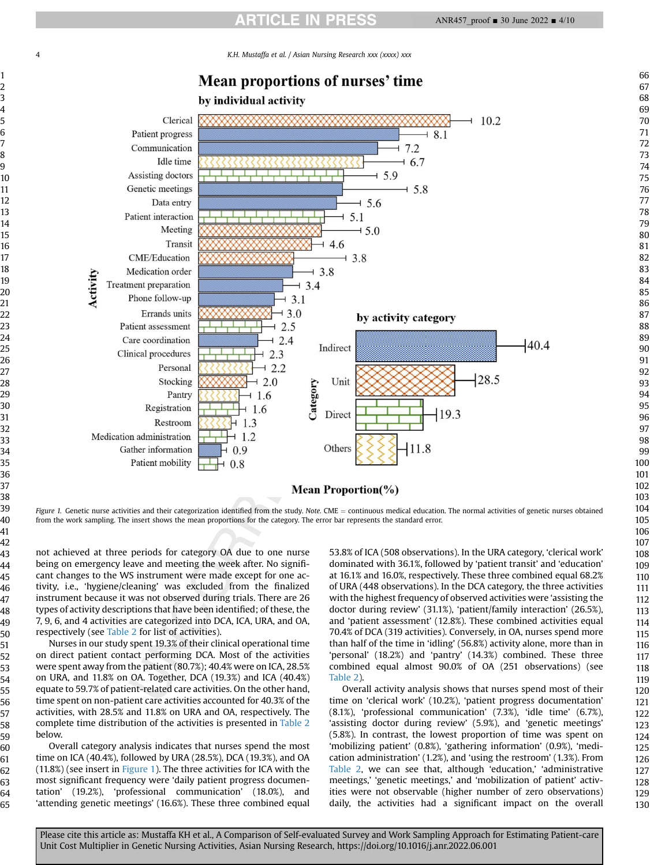<span id="page-3-0"></span>K.H. Mustaffa et al. / Asian Nursing Research xxx (xxxx) xxx



Figure 1. Genetic nurse activities and their categorization identified from the study. Note. CME = continuous medical education. The normal activities of genetic nurses obtained from the work sampling. The insert shows the mean proportions for the category. The error bar represents the standard error.

not achieved at three periods for category OA due to one nurse being on emergency leave and meeting the week after. No significant changes to the WS instrument were made except for one activity, i.e., 'hygiene/cleaning' was excluded from the finalized instrument because it was not observed during trials. There are 26 types of activity descriptions that have been identified; of these, the 7, 9, 6, and 4 activities are categorized into DCA, ICA, URA, and OA, respectively (see [Table 2](#page-4-0) for list of activities).

Nurses in our study spent 19.3% of their clinical operational time on direct patient contact performing DCA. Most of the activities were spent away from the patient (80.7%); 40.4% were on ICA, 28.5% on URA, and 11.8% on OA. Together, DCA (19.3%) and ICA (40.4%) equate to 59.7% of patient-related care activities. On the other hand, time spent on non-patient care activities accounted for 40.3% of the activities, with 28.5% and 11.8% on URA and OA, respectively. The complete time distribution of the activities is presented in [Table 2](#page-4-0) below.

Overall category analysis indicates that nurses spend the most time on ICA (40.4%), followed by URA (28.5%), DCA (19.3%), and OA  $(11.8%)$  (see insert in [Figure 1\)](#page-3-0). The three activities for ICA with the most significant frequency were 'daily patient progress documentation' (19.2%), 'professional communication' (18.0%), and 'attending genetic meetings' (16.6%). These three combined equal

53.8% of ICA (508 observations). In the URA category, 'clerical work' dominated with 36.1%, followed by 'patient transit' and 'education' at 16.1% and 16.0%, respectively. These three combined equal 68.2% of URA (448 observations). In the DCA category, the three activities with the highest frequency of observed activities were 'assisting the doctor during review' (31.1%), 'patient/family interaction' (26.5%), and 'patient assessment' (12.8%). These combined activities equal 70.4% of DCA (319 activities). Conversely, in OA, nurses spend more than half of the time in 'idling' (56.8%) activity alone, more than in 'personal' (18.2%) and 'pantry' (14.3%) combined. These three combined equal almost 90.0% of OA (251 observations) (see [Table 2\)](#page-4-0).

Overall activity analysis shows that nurses spend most of their time on 'clerical work' (10.2%), 'patient progress documentation' (8.1%), 'professional communication' (7.3%), 'idle time' (6.7%), 'assisting doctor during review' (5.9%), and 'genetic meetings' (5.8%). In contrast, the lowest proportion of time was spent on 'mobilizing patient' (0.8%), 'gathering information' (0.9%), 'medication administration' (1.2%), and 'using the restroom' (1.3%). From [Table 2](#page-4-0), we can see that, although 'education,' 'administrative meetings,' 'genetic meetings,' and 'mobilization of patient' activities were not observable (higher number of zero observations) daily, the activities had a significant impact on the overall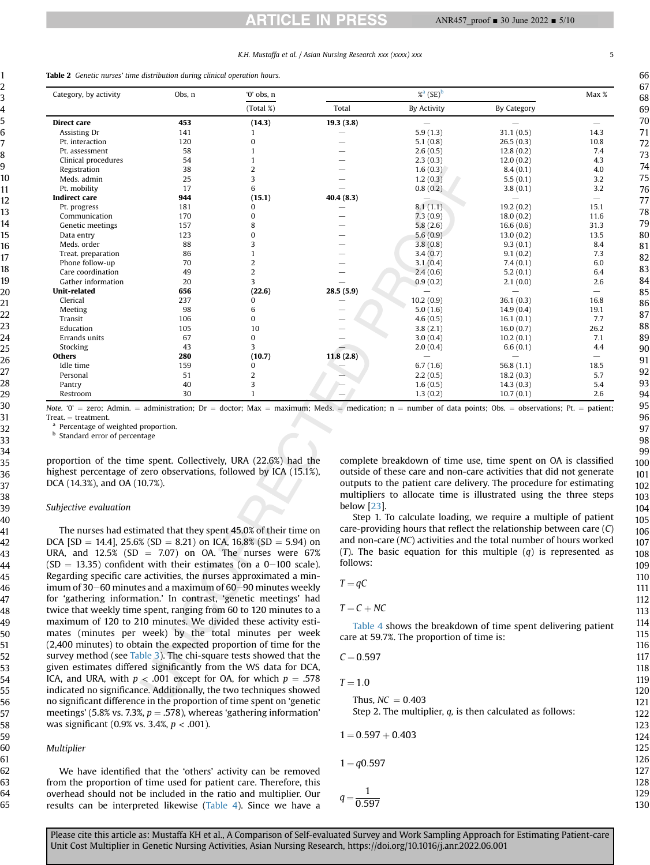### K.H. Mustaffa et al. / Asian Nursing Research xxx (xxxx) xxx 5

<span id="page-4-0"></span>Table 2 Genetic nurses' time distribution during clinical operation hours.

| Category, by activity | Obs, n | $'0'$ obs. $n$           |           | $%$ <sup>a</sup> $(SE)$ <sup>b</sup> |                          | Max %                    |
|-----------------------|--------|--------------------------|-----------|--------------------------------------|--------------------------|--------------------------|
|                       |        | $(Total \%)$             | Total     | <b>By Activity</b>                   | <b>By Category</b>       |                          |
| Direct care           | 453    | (14.3)                   | 19.3(3.8) |                                      |                          | -                        |
| Assisting Dr          | 141    |                          |           | 5.9(1.3)                             | 31.1(0.5)                | 14.3                     |
| Pt. interaction       | 120    | $\Omega$                 |           | 5.1(0.8)                             | 26.5(0.3)                | 10.8                     |
| Pt. assessment        | 58     |                          |           | 2.6(0.5)                             | 12.8(0.2)                | 7.4                      |
| Clinical procedures   | 54     |                          |           | 2.3(0.3)                             | 12.0(0.2)                | 4.3                      |
| Registration          | 38     | $\overline{\mathcal{L}}$ |           | 1.6(0.3)                             | 8.4(0.1)                 | 4.0                      |
| Meds. admin           | 25     |                          |           | 1.2(0.3)                             | 5.5(0.1)                 | 3.2                      |
| Pt. mobility          | 17     | 6                        |           | 0.8(0.2)                             | 3.8(0.1)                 | 3.2                      |
| <b>Indirect care</b>  | 944    | (15.1)                   | 40.4(8.3) |                                      | $\overline{\phantom{0}}$ |                          |
| Pt. progress          | 181    | 0                        |           | 8.1(1.1)                             | 19.2(0.2)                | 15.1                     |
| Communication         | 170    | $\Omega$                 |           | 7.3(0.9)                             | 18.0(0.2)                | 11.6                     |
| Genetic meetings      | 157    | 8                        |           | 5.8(2.6)                             | 16.6(0.6)                | 31.3                     |
| Data entry            | 123    | $\Omega$                 |           | 5.6(0.9)                             | 13.0(0.2)                | 13.5                     |
| Meds. order           | 88     | 3                        |           | 3.8(0.8)                             | 9.3(0.1)                 | 8.4                      |
| Treat. preparation    | 86     |                          |           | 3.4(0.7)                             | 9.1(0.2)                 | 7.3                      |
| Phone follow-up       | 70     | $\overline{2}$           |           | 3.1(0.4)                             | 7.4(0.1)                 | 6.0                      |
| Care coordination     | 49     | 2                        |           | 2.4(0.6)                             | 5.2(0.1)                 | 6.4                      |
| Gather information    | 20     | R                        |           | 0.9(0.2)                             | 2.1(0.0)                 | 2.6                      |
| <b>Unit-related</b>   | 656    | (22.6)                   | 28.5(5.9) |                                      | $\overline{\phantom{0}}$ | $\overline{\phantom{0}}$ |
| Clerical              | 237    | 0                        |           | 10.2(0.9)                            | 36.1(0.3)                | 16.8                     |
| Meeting               | 98     | 6                        |           | 5.0(1.6)                             | 14.9(0.4)                | 19.1                     |
| Transit               | 106    | $\Omega$                 |           | 4.6(0.5)                             | 16.1(0.1)                | 7.7                      |
| Education             | 105    | 10                       |           | 3.8(2.1)                             | 16.0(0.7)                | 26.2                     |
| Errands units         | 67     | $\bf{0}$                 |           | 3.0(0.4)                             | 10.2(0.1)                | 7.1                      |
| Stocking              | 43     | 3                        |           | 2.0(0.4)                             | 6.6(0.1)                 | 4.4                      |
| <b>Others</b>         | 280    | (10.7)                   | 11.8(2.8) |                                      |                          |                          |
| Idle time             | 159    | 0                        |           | 6.7(1.6)                             | 56.8(1.1)                | 18.5                     |
| Personal              | 51     | 2                        |           | 2.2(0.5)                             | 18.2(0.3)                | 5.7                      |
| Pantry                | 40     | 3                        |           | 1.6(0.5)                             | 14.3(0.3)                | 5.4                      |
| Restroom              | 30     |                          |           | 1.3(0.2)                             | 10.7(0.1)                | 2.6                      |

Note. '0' = zero; Admin. = administration; Dr = doctor; Max = maximum; Meds. = medication; n = number of data points; Obs. = observations; Pt. = patient; Treat. = treatment.

<span id="page-4-1"></span>Percentage of weighted proportion.

<span id="page-4-2"></span>**b** Standard error of percentage

proportion of the time spent. Collectively, URA (22.6%) had the highest percentage of zero observations, followed by ICA (15.1%), DCA (14.3%), and OA (10.7%).

#### Subjective evaluation

The nurses had estimated that they spent 45.0% of their time on DCA  $[SD = 14.4]$ , 25.6%  $(SD = 8.21)$  on ICA, 16.8%  $(SD = 5.94)$  on URA, and  $12.5\%$  (SD = 7.07) on OA. The nurses were 67%  $(SD = 13.35)$  confident with their estimates (on a 0-100 scale). Regarding specific care activities, the nurses approximated a minimum of 30 $-60$  minutes and a maximum of  $60-90$  minutes weekly for 'gathering information.' In contrast, 'genetic meetings' had twice that weekly time spent, ranging from 60 to 120 minutes to a maximum of 120 to 210 minutes. We divided these activity estimates (minutes per week) by the total minutes per week (2,400 minutes) to obtain the expected proportion of time for the survey method (see [Table 3](#page-5-0)). The chi-square tests showed that the given estimates differed significantly from the WS data for DCA, ICA, and URA, with  $p < .001$  except for OA, for which  $p = .578$ indicated no significance. Additionally, the two techniques showed no significant difference in the proportion of time spent on 'genetic meetings' (5.8% vs. 7.3%,  $p = .578$ ), whereas 'gathering information' was significant (0.9% vs. 3.4%,  $p < .001$ ).

#### Multiplier

We have identified that the 'others' activity can be removed from the proportion of time used for patient care. Therefore, this overhead should not be included in the ratio and multiplier. Our results can be interpreted likewise ([Table 4\)](#page-5-1). Since we have a complete breakdown of time use, time spent on OA is classified outside of these care and non-care activities that did not generate outputs to the patient care delivery. The procedure for estimating multipliers to allocate time is illustrated using the three steps below [\[23\]](#page-9-10).

Step 1. To calculate loading, we require a multiple of patient care-providing hours that reflect the relationship between care (C) and non-care (NC) activities and the total number of hours worked (T). The basic equation for this multiple  $(q)$  is represented as follows:

$$
T=qC
$$

 $T =$ 

 $T = C + NC$ 

[Table 4](#page-5-1) shows the breakdown of time spent delivering patient care at 59.7%. The proportion of time is:

$$
C\!=\!0.597
$$

$$
1.0\quad \ \
$$

Thus, 
$$
NC = 0.403
$$
  
Step 2. The multiplier, *q*, is then calculated as follows:

 $1 = 0.597 + 0.403$ 

$$
1 = q0.597
$$

 $q = \frac{1}{0.597}$ 127 128 129 130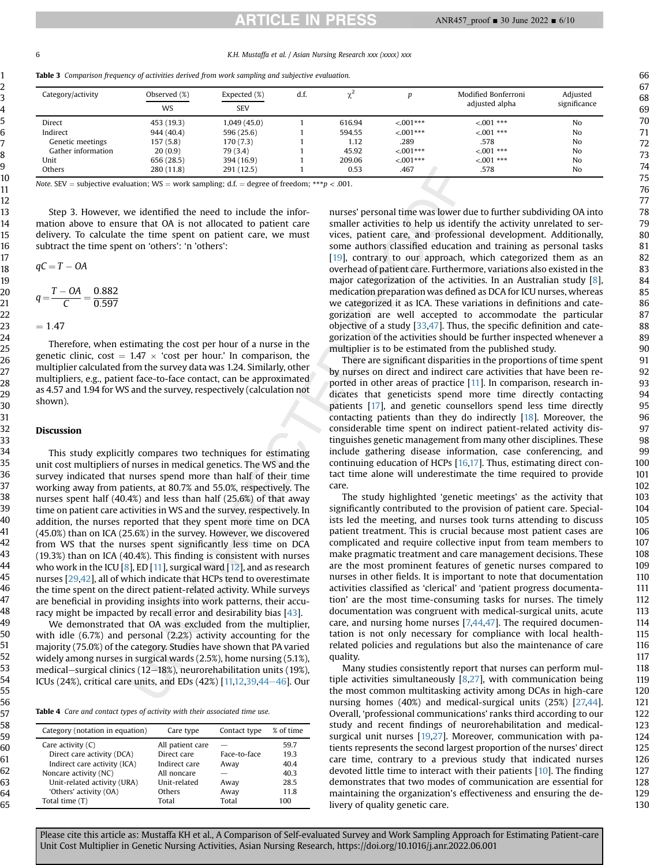6 K.H. Mustaffa et al. / Asian Nursing Research xxx (xxxx) xxx

<span id="page-5-0"></span>

|  |  |  |  |  |  | <b>Table 3</b> Comparison frequency of activities derived from work sampling and subjective evaluation. |  |  |
|--|--|--|--|--|--|---------------------------------------------------------------------------------------------------------|--|--|
|--|--|--|--|--|--|---------------------------------------------------------------------------------------------------------|--|--|

| Category/activity  | Observed (%) | Expected (%) | d.f. |        |             | Modified Bonferroni | Adiusted     |
|--------------------|--------------|--------------|------|--------|-------------|---------------------|--------------|
|                    | <b>WS</b>    | <b>SEV</b>   |      |        |             | adjusted alpha      | significance |
| Direct             | 453 (19.3)   | 1,049(45.0)  |      | 616.94 | $< 0.01***$ | $< 0.01$ ***        | No           |
| Indirect           | 944 (40.4)   | 596 (25.6)   |      | 594.55 | $< 0.01***$ | $< 0.01$ ***        | No           |
| Genetic meetings   | 157(5.8)     | 170(7.3)     |      | 1.12   | .289        | .578                | No           |
| Gather information | 20(0.9)      | 79 (3.4)     |      | 45.92  | $< 0.01***$ | $< 0.01$ ***        | No           |
| Unit               | 656 (28.5)   | 394 (16.9)   |      | 209.06 | $< 0.01***$ | $< 0.01$ ***        | No           |
| Others             | 280 (11.8)   | 291 (12.5)   |      | 0.53   | .467        | .578                | No           |

Note. SEV = subjective evaluation; WS = work sampling; d.f. = degree of freedom; \*\*\*p < .001.

Step 3. However, we identified the need to include the information above to ensure that OA is not allocated to patient care delivery. To calculate the time spent on patient care, we must subtract the time spent on 'others': 'n 'others':

$$
qC = T - OA
$$

$$
q = \frac{T - OA}{C} = \frac{0.882}{0.597}
$$

$$
=1.47
$$

Therefore, when estimating the cost per hour of a nurse in the genetic clinic, cost =  $1.47 \times$  'cost per hour.' In comparison, the multiplier calculated from the survey data was 1.24. Similarly, other multipliers, e.g., patient face-to-face contact, can be approximated as 4.57 and 1.94 for WS and the survey, respectively (calculation not shown).

#### Discussion

This study explicitly compares two techniques for estimating unit cost multipliers of nurses in medical genetics. The WS and the survey indicated that nurses spend more than half of their time working away from patients, at 80.7% and 55.0%, respectively. The nurses spent half (40.4%) and less than half (25.6%) of that away time on patient care activities in WS and the survey, respectively. In addition, the nurses reported that they spent more time on DCA (45.0%) than on ICA (25.6%) in the survey. However, we discovered from WS that the nurses spent significantly less time on DCA (19.3%) than on ICA (40.4%). This finding is consistent with nurses who work in the ICU  $[8]$  $[8]$ , ED  $[11]$ , surgical ward  $[12]$  $[12]$ , and as research nurses [[29,](#page-9-16)[42](#page-9-29)], all of which indicate that HCPs tend to overestimate the time spent on the direct patient-related activity. While surveys are beneficial in providing insights into work patterns, their accuracy might be impacted by recall error and desirability bias [\[43\]](#page-9-30).

We demonstrated that OA was excluded from the multiplier, with idle (6.7%) and personal (2.2%) activity accounting for the majority (75.0%) of the category. Studies have shown that PA varied widely among nurses in surgical wards (2.5%), home nursing (5.1%), medical-surgical clinics (12-18%), neurorehabilitation units (19%), ICUs (24%), critical care units, and EDs (42%) [\[11,](#page-8-8)[12,](#page-8-9)[39](#page-9-26)[,44](#page-9-31)-[46](#page-9-31)]. Our

<span id="page-5-1"></span>Table 4 Care and contact types of activity with their associated time use.

| Category (notation in equation) | Care type        | Contact type | % of time |
|---------------------------------|------------------|--------------|-----------|
| Care activity $(C)$             | All patient care |              | 59.7      |
| Direct care activity (DCA)      | Direct care      | Face-to-face | 19.3      |
| Indirect care activity (ICA)    | Indirect care    | Away         | 40.4      |
| Noncare activity (NC)           | All noncare      |              | 40.3      |
| Unit-related activity (URA)     | Unit-related     | Away         | 28.5      |
| 'Others' activity (OA)          | Others           | Away         | 11.8      |
| Total time (T)                  | Total            | Total        | 100       |

nurses' personal time was lower due to further subdividing OA into smaller activities to help us identify the activity unrelated to services, patient care, and professional development. Additionally, some authors classified education and training as personal tasks [[19\]](#page-9-6), contrary to our approach, which categorized them as an overhead of patient care. Furthermore, variations also existed in the major categorization of the activities. In an Australian study [\[8](#page-8-7)], medication preparation was defined as DCA for ICU nurses, whereas we categorized it as ICA. These variations in definitions and categorization are well accepted to accommodate the particular objective of a study  $[33,47]$  $[33,47]$  $[33,47]$  $[33,47]$ . Thus, the specific definition and categorization of the activities should be further inspected whenever a multiplier is to be estimated from the published study.

There are significant disparities in the proportions of time spent by nurses on direct and indirect care activities that have been reported in other areas of practice [[11](#page-8-8)]. In comparison, research indicates that geneticists spend more time directly contacting patients [[17\]](#page-9-4), and genetic counsellors spend less time directly contacting patients than they do indirectly [\[18](#page-9-5)]. Moreover, the considerable time spent on indirect patient-related activity distinguishes genetic management from many other disciplines. These include gathering disease information, case conferencing, and continuing education of HCPs [[16,](#page-9-3)[17\]](#page-9-4). Thus, estimating direct contact time alone will underestimate the time required to provide care.

The study highlighted 'genetic meetings' as the activity that significantly contributed to the provision of patient care. Specialists led the meeting, and nurses took turns attending to discuss patient treatment. This is crucial because most patient cases are complicated and require collective input from team members to make pragmatic treatment and care management decisions. These are the most prominent features of genetic nurses compared to nurses in other fields. It is important to note that documentation activities classified as 'clerical' and 'patient progress documentation' are the most time-consuming tasks for nurses. The timely documentation was congruent with medical-surgical units, acute care, and nursing home nurses [[7,](#page-8-6)[44,](#page-9-31)[47\]](#page-9-32). The required documentation is not only necessary for compliance with local healthrelated policies and regulations but also the maintenance of care quality.

Many studies consistently report that nurses can perform multiple activities simultaneously  $[8,27]$  $[8,27]$  $[8,27]$ , with communication being the most common multitasking activity among DCAs in high-care nursing homes (40%) and medical-surgical units (25%) [[27,](#page-9-14)[44](#page-9-31)]. Overall, 'professional communications' ranks third according to our study and recent findings of neurorehabilitation and medicalsurgical unit nurses [[19,](#page-9-6)[27\]](#page-9-14). Moreover, communication with patients represents the second largest proportion of the nurses' direct care time, contrary to a previous study that indicated nurses devoted little time to interact with their patients [\[10](#page-8-10)]. The finding demonstrates that two modes of communication are essential for maintaining the organization's effectiveness and ensuring the delivery of quality genetic care.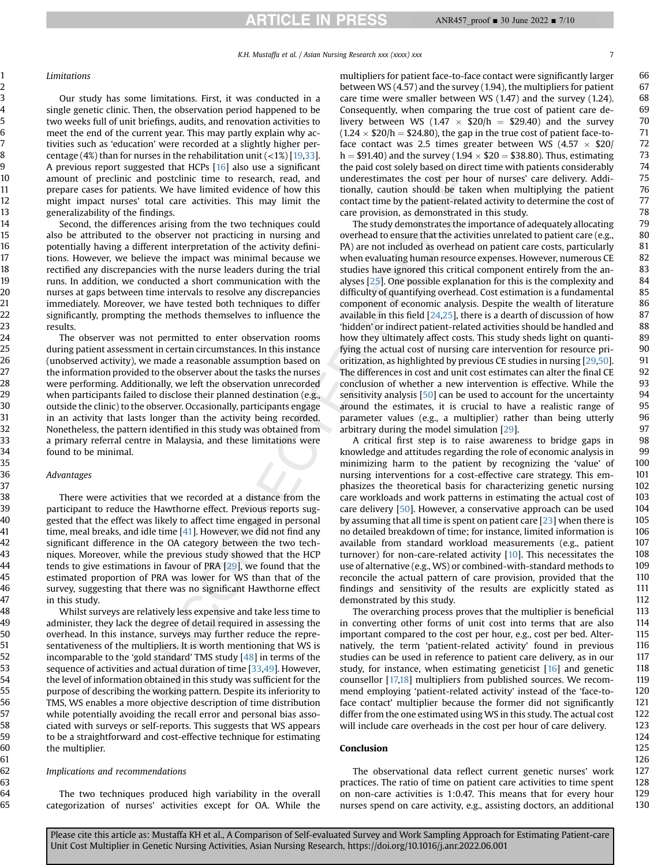**ARTICLE IN PRESS** 

K.H. Mustaffa et al. / Asian Nursing Research xxx (xxxx) xxx 7

#### Limitations

Our study has some limitations. First, it was conducted in a single genetic clinic. Then, the observation period happened to be two weeks full of unit briefings, audits, and renovation activities to meet the end of the current year. This may partly explain why activities such as 'education' were recorded at a slightly higher percentage (4%) than for nurses in the rehabilitation unit  $\left($  <1%) [\[19](#page-9-6)[,33\]](#page-9-20). A previous report suggested that HCPs [[16\]](#page-9-3) also use a significant amount of preclinic and postclinic time to research, read, and prepare cases for patients. We have limited evidence of how this might impact nurses' total care activities. This may limit the generalizability of the findings.

Second, the differences arising from the two techniques could also be attributed to the observer not practicing in nursing and potentially having a different interpretation of the activity definitions. However, we believe the impact was minimal because we rectified any discrepancies with the nurse leaders during the trial runs. In addition, we conducted a short communication with the nurses at gaps between time intervals to resolve any discrepancies immediately. Moreover, we have tested both techniques to differ significantly, prompting the methods themselves to influence the results.

The observer was not permitted to enter observation rooms during patient assessment in certain circumstances. In this instance (unobserved activity), we made a reasonable assumption based on the information provided to the observer about the tasks the nurses were performing. Additionally, we left the observation unrecorded when participants failed to disclose their planned destination (e.g., outside the clinic) to the observer. Occasionally, participants engage in an activity that lasts longer than the activity being recorded. Nonetheless, the pattern identified in this study was obtained from a primary referral centre in Malaysia, and these limitations were found to be minimal.

### Advantages

There were activities that we recorded at a distance from the participant to reduce the Hawthorne effect. Previous reports suggested that the effect was likely to affect time engaged in personal time, meal breaks, and idle time [[41\]](#page-9-28). However, we did not find any significant difference in the OA category between the two techniques. Moreover, while the previous study showed that the HCP tends to give estimations in favour of PRA [[29](#page-9-16)], we found that the estimated proportion of PRA was lower for WS than that of the survey, suggesting that there was no significant Hawthorne effect in this study.

Whilst surveys are relatively less expensive and take less time to administer, they lack the degree of detail required in assessing the overhead. In this instance, surveys may further reduce the representativeness of the multipliers. It is worth mentioning that WS is incomparable to the 'gold standard' TMS study [\[48\]](#page-9-33) in terms of the sequence of activities and actual duration of time [[33,](#page-9-20)[49](#page-9-34)]. However, the level of information obtained in this study was sufficient for the purpose of describing the working pattern. Despite its inferiority to TMS, WS enables a more objective description of time distribution while potentially avoiding the recall error and personal bias associated with surveys or self-reports. This suggests that WS appears to be a straightforward and cost-effective technique for estimating the multiplier.

#### Implications and recommendations

The two techniques produced high variability in the overall categorization of nurses' activities except for OA. While the multipliers for patient face-to-face contact were significantly larger between WS (4.57) and the survey (1.94), the multipliers for patient care time were smaller between WS (1.47) and the survey (1.24). Consequently, when comparing the true cost of patient care delivery between WS (1.47  $\times$  \$20/h = \$29.40) and the survey  $(1.24 \times $20/h = $24.80)$ , the gap in the true cost of patient face-toface contact was 2.5 times greater between WS (4.57  $\times$  \$20/ h = \$91.40) and the survey (1.94  $\times$  \$20 = \$38.80). Thus, estimating the paid cost solely based on direct time with patients considerably underestimates the cost per hour of nurses' care delivery. Additionally, caution should be taken when multiplying the patient contact time by the patient-related activity to determine the cost of care provision, as demonstrated in this study.

The study demonstrates the importance of adequately allocating overhead to ensure that the activities unrelated to patient care (e.g., PA) are not included as overhead on patient care costs, particularly when evaluating human resource expenses. However, numerous CE studies have ignored this critical component entirely from the analyses [\[25\]](#page-9-12). One possible explanation for this is the complexity and difficulty of quantifying overhead. Cost estimation is a fundamental component of economic analysis. Despite the wealth of literature available in this field  $[24,25]$  $[24,25]$  $[24,25]$ , there is a dearth of discussion of how 'hidden' or indirect patient-related activities should be handled and how they ultimately affect costs. This study sheds light on quantifying the actual cost of nursing care intervention for resource prioritization, as highlighted by previous CE studies in nursing [[29](#page-9-16)[,50\]](#page-9-35). The differences in cost and unit cost estimates can alter the final CE conclusion of whether a new intervention is effective. While the sensitivity analysis [[50](#page-9-35)] can be used to account for the uncertainty around the estimates, it is crucial to have a realistic range of parameter values (e.g., a multiplier) rather than being utterly arbitrary during the model simulation [[29](#page-9-16)].

A critical first step is to raise awareness to bridge gaps in knowledge and attitudes regarding the role of economic analysis in minimizing harm to the patient by recognizing the 'value' of nursing interventions for a cost-effective care strategy. This emphasizes the theoretical basis for characterizing genetic nursing care workloads and work patterns in estimating the actual cost of care delivery [\[50\]](#page-9-35). However, a conservative approach can be used by assuming that all time is spent on patient care  $[23]$  $[23]$  $[23]$  when there is no detailed breakdown of time; for instance, limited information is available from standard workload measurements (e.g., patient turnover) for non-care-related activity [[10\]](#page-8-10). This necessitates the use of alternative (e.g., WS) or combined-with-standard methods to reconcile the actual pattern of care provision, provided that the findings and sensitivity of the results are explicitly stated as demonstrated by this study.

The overarching process proves that the multiplier is beneficial in converting other forms of unit cost into terms that are also important compared to the cost per hour, e.g., cost per bed. Alternatively, the term 'patient-related activity' found in previous studies can be used in reference to patient care delivery, as in our study, for instance, when estimating geneticist [[16\]](#page-9-3) and genetic counsellor [[17,](#page-9-4)[18\]](#page-9-5) multipliers from published sources. We recommend employing 'patient-related activity' instead of the 'face-toface contact' multiplier because the former did not significantly differ from the one estimated using WS in this study. The actual cost will include care overheads in the cost per hour of care delivery.

#### Conclusion

The observational data reflect current genetic nurses' work practices. The ratio of time on patient care activities to time spent on non-care activities is 1:0.47. This means that for every hour nurses spend on care activity, e.g., assisting doctors, an additional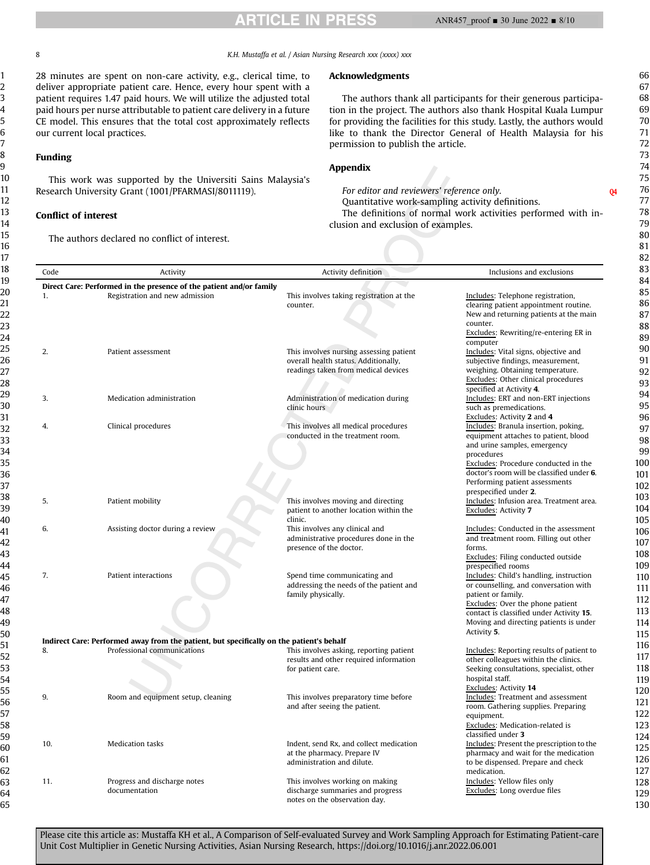8 K.H. Mustaffa et al. / Asian Nursing Research xxx (xxxx) xxx

28 minutes are spent on non-care activity, e.g., clerical time, to deliver appropriate patient care. Hence, every hour spent with a patient requires 1.47 paid hours. We will utilize the adjusted total paid hours per nurse attributable to patient care delivery in a future CE model. This ensures that the total cost approximately reflects our current local practices.

## Funding

This work was supported by the Universiti Sains Malaysia's Research University Grant (1001/PFARMASI/8011119).

# Conflict of interest

The authors declared no conflict of interest.

# Acknowledgments

The authors thank all participants for their generous participation in the project. The authors also thank Hospital Kuala Lumpur for providing the facilities for this study. Lastly, the authors would like to thank the Director General of Health Malaysia for his permission to publish the article.

# Appendix

For editor and reviewers' reference only. Quantitative work-sampling activity definitions. The definitions of normal work activities performed with inclusion and exclusion of examples.

| Code | Activity                                                                                 | Activity definition                                                                                                    | Inclusions and exclusions                                                                                                                                                                                                                                                  |
|------|------------------------------------------------------------------------------------------|------------------------------------------------------------------------------------------------------------------------|----------------------------------------------------------------------------------------------------------------------------------------------------------------------------------------------------------------------------------------------------------------------------|
|      | Direct Care: Performed in the presence of the patient and/or family                      |                                                                                                                        |                                                                                                                                                                                                                                                                            |
| 1.   | Registration and new admission                                                           | This involves taking registration at the<br>counter.                                                                   | Includes: Telephone registration,<br>clearing patient appointment routine.<br>New and returning patients at the main<br>counter.<br>Excludes: Rewriting/re-entering ER in                                                                                                  |
|      |                                                                                          |                                                                                                                        | computer                                                                                                                                                                                                                                                                   |
| 2.   | Patient assessment                                                                       | This involves nursing assessing patient<br>overall health status. Additionally,<br>readings taken from medical devices | Includes: Vital signs, objective and<br>subjective findings, measurement,<br>weighing. Obtaining temperature.<br>Excludes: Other clinical procedures                                                                                                                       |
| 3.   | Medication administration                                                                | Administration of medication during                                                                                    | specified at Activity 4.<br>Includes: ERT and non-ERT injections                                                                                                                                                                                                           |
|      |                                                                                          | clinic hours                                                                                                           | such as premedications.<br>Excludes: Activity 2 and 4                                                                                                                                                                                                                      |
| 4.   | Clinical procedures                                                                      | This involves all medical procedures<br>conducted in the treatment room.                                               | Includes: Branula insertion, poking,<br>equipment attaches to patient, blood<br>and urine samples, emergency<br>procedures<br>Excludes: Procedure conducted in the<br>doctor's room will be classified under 6.<br>Performing patient assessments<br>prespecified under 2. |
| 5.   | Patient mobility                                                                         | This involves moving and directing<br>patient to another location within the<br>clinic.                                | Includes: Infusion area. Treatment area.<br>Excludes: Activity 7                                                                                                                                                                                                           |
| 6.   | Assisting doctor during a review                                                         | This involves any clinical and<br>administrative procedures done in the<br>presence of the doctor.                     | Includes: Conducted in the assessment<br>and treatment room. Filling out other<br>forms.<br>Excludes: Filing conducted outside                                                                                                                                             |
| 7.   | Patient interactions                                                                     | Spend time communicating and<br>addressing the needs of the patient and<br>family physically.                          | prespecified rooms<br>Includes: Child's handling, instruction<br>or counselling, and conversation with<br>patient or family.<br>Excludes: Over the phone patient<br>contact is classified under Activity 15.<br>Moving and directing patients is under<br>Activity 5.      |
|      | Indirect Care: Performed away from the patient, but specifically on the patient's behalf |                                                                                                                        |                                                                                                                                                                                                                                                                            |
| 8.   | Professional communications                                                              | This involves asking, reporting patient<br>results and other required information<br>for patient care.                 | Includes: Reporting results of patient to<br>other colleagues within the clinics.<br>Seeking consultations, specialist, other<br>hospital staff.                                                                                                                           |
| 9.   | Room and equipment setup, cleaning                                                       | This involves preparatory time before<br>and after seeing the patient.                                                 | Excludes: Activity 14<br>Includes: Treatment and assessment<br>room. Gathering supplies. Preparing<br>equipment.<br>Excludes: Medication-related is                                                                                                                        |
| 10.  | <b>Medication tasks</b>                                                                  | Indent, send Rx, and collect medication<br>at the pharmacy. Prepare IV<br>administration and dilute.                   | classified under 3<br>Includes: Present the prescription to the<br>pharmacy and wait for the medication<br>to be dispensed. Prepare and check<br>medication.                                                                                                               |
| 11.  | Progress and discharge notes<br>documentation                                            | This involves working on making<br>discharge summaries and progress<br>notes on the observation day.                   | Includes: Yellow files only<br>Excludes: Long overdue files                                                                                                                                                                                                                |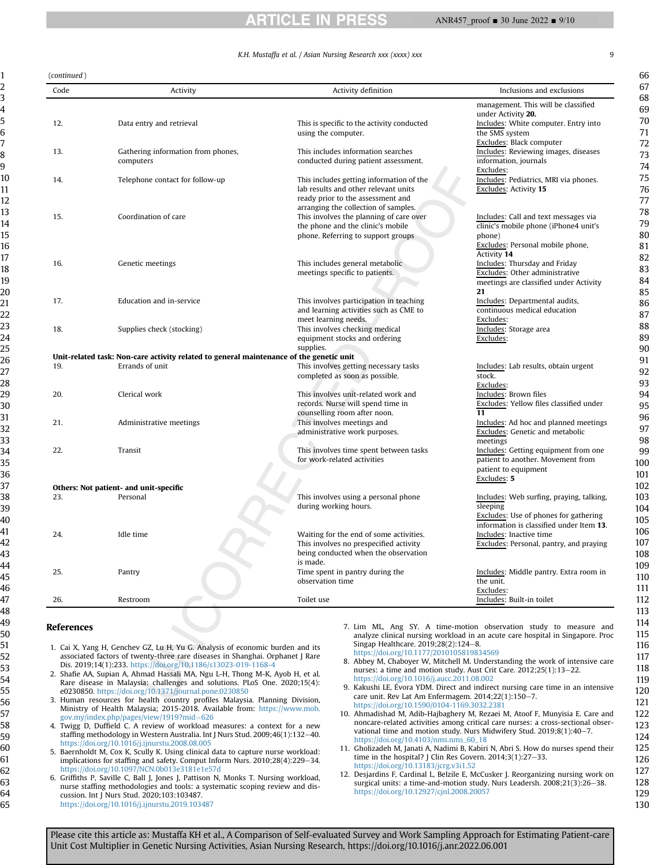#### ANR457\_proof ■ 30 June 2022 ■ 9/10

CLE .

|             |                                                                                         | K.H. Mustaffa et al. / Asian Nursing Research xxx (xxxx) xxx                                                                                                  |                                                                                                                                            |
|-------------|-----------------------------------------------------------------------------------------|---------------------------------------------------------------------------------------------------------------------------------------------------------------|--------------------------------------------------------------------------------------------------------------------------------------------|
| continued ) |                                                                                         |                                                                                                                                                               |                                                                                                                                            |
| Code        | Activity                                                                                | Activity definition                                                                                                                                           | Inclusions and exclusions                                                                                                                  |
| 12.         | Data entry and retrieval                                                                | This is specific to the activity conducted<br>using the computer.                                                                                             | management. This will be classified<br>under Activity 20.<br>Includes: White computer. Entry into<br>the SMS system                        |
| 13.         | Gathering information from phones,<br>computers                                         | This includes information searches<br>conducted during patient assessment.                                                                                    | Excludes: Black computer<br>Includes: Reviewing images, diseases<br>information, journals<br>Excludes:                                     |
| 14.         | Telephone contact for follow-up                                                         | This includes getting information of the<br>lab results and other relevant units<br>ready prior to the assessment and<br>arranging the collection of samples. | Includes: Pediatrics, MRI via phones.<br>Excludes: Activity 15                                                                             |
| 15.         | Coordination of care                                                                    | This involves the planning of care over<br>the phone and the clinic's mobile<br>phone. Referring to support groups                                            | Includes: Call and text messages via<br>clinic's mobile phone (iPhone4 unit's<br>phone)<br>Excludes: Personal mobile phone,<br>Activity 14 |
| 16.         | Genetic meetings                                                                        | This includes general metabolic<br>meetings specific to patients.                                                                                             | Includes: Thursday and Friday<br>Excludes: Other administrative<br>meetings are classified under Activity<br>21                            |
| 17.         | Education and in-service                                                                | This involves participation in teaching<br>and learning activities such as CME to<br>meet learning needs.                                                     | Includes: Departmental audits,<br>continuous medical education<br>Excludes:                                                                |
| 18.         | Supplies check (stocking)                                                               | This involves checking medical<br>equipment stocks and ordering<br>supplies.                                                                                  | Includes: Storage area<br>Excludes:                                                                                                        |
|             | Unit-related task: Non-care activity related to general maintenance of the genetic unit |                                                                                                                                                               |                                                                                                                                            |
| 19.         | Errands of unit                                                                         | This involves getting necessary tasks<br>completed as soon as possible.                                                                                       | Includes: Lab results, obtain urgent<br>stock.<br>Excludes:                                                                                |
| 20.         | Clerical work                                                                           | This involves unit-related work and<br>records. Nurse will spend time in<br>counselling room after noon.                                                      | Includes: Brown files<br>Excludes: Yellow files classified under<br>11                                                                     |
| 21.         | Administrative meetings                                                                 | This involves meetings and<br>administrative work purposes.                                                                                                   | Includes: Ad hoc and planned meetings<br>Excludes: Genetic and metabolic<br>meetings                                                       |
| 22.         | Transit<br>Others: Not patient- and unit-specific                                       | This involves time spent between tasks<br>for work-related activities                                                                                         | Includes: Getting equipment from one<br>patient to another. Movement from<br>patient to equipment<br>Excludes: 5                           |
|             |                                                                                         |                                                                                                                                                               |                                                                                                                                            |

|     | Others: Not patient- and unit-specific |                                                                                                                           |                                                                                                                |
|-----|----------------------------------------|---------------------------------------------------------------------------------------------------------------------------|----------------------------------------------------------------------------------------------------------------|
| 23. | Personal                               | This involves using a personal phone<br>during working hours.                                                             | Includes: Web surfing, praying, talking,<br>sleeping<br>Excludes: Use of phones for gathering                  |
| 24. | Idle time                              | Waiting for the end of some activities.<br>This involves no prespecified activity<br>being conducted when the observation | information is classified under Item 13.<br>Includes: Inactive time<br>Excludes: Personal, pantry, and praying |
| 25. | Pantry                                 | is made.<br>Time spent in pantry during the<br>observation time                                                           | Includes: Middle pantry, Extra room in<br>the unit.                                                            |
| 26. | Restroom                               | Toilet use                                                                                                                | Excludes:<br>Includes: Built-in toilet                                                                         |

#### References

(continued )

1

- <span id="page-8-0"></span>1. Cai X, Yang H, Genchev GZ, Lu H, Yu G. Analysis of economic burden and its associated factors of twenty-three rare diseases in Shanghai. Orphanet J Rare Dis. 2019;14(1):233. <https://doi.org/10.1186/s13023-019-1168-4>
- <span id="page-8-1"></span>2. Shafie AA, Supian A, Ahmad Hassali MA, Ngu L-H, Thong M-K, Ayob H, et al. Rare disease in Malaysia: challenges and solutions. PLoS One. 2020;15(4): e0230850. <https://doi.org/10.1371/journal.pone.0230850>
- <span id="page-8-2"></span>3. Human resources for health country profiles Malaysia. Planning Division, Ministry of Health Malaysia; 2015-2018. Available from: [https://www.moh.](https://www.moh.gov.my/index.php/pages/view/1919?mid=626) [gov.my/index.php/pages/view/1919?mid](https://www.moh.gov.my/index.php/pages/view/1919?mid=626)=[626](https://www.moh.gov.my/index.php/pages/view/1919?mid=626)
- <span id="page-8-3"></span>4. Twigg D, Duffield C. A review of workload measures: a context for a new staffing methodology in Western Australia. Int J Nurs Stud. 2009;46(1):132-40. <https://doi.org/10.1016/j.ijnurstu.2008.08.005>
- <span id="page-8-4"></span>5. Baernholdt M, Cox K, Scully K. Using clinical data to capture nurse workload: implications for staffing and safety. Comput Inform Nurs. 2010;28(4):229-34. <https://doi.org/10.1097/NCN.0b013e3181e1e57d>
- <span id="page-8-5"></span>6. Griffiths P, Saville C, Ball J, Jones J, Pattison N, Monks T. Nursing workload, nurse staffing methodologies and tools: a systematic scoping review and discussion. Int J Nurs Stud. 2020;103:103487. <https://doi.org/10.1016/j.ijnurstu.2019.103487>
- <span id="page-8-6"></span>7. Lim ML, Ang SY. A time-motion observation study to measure and analyze clinical nursing workload in an acute care hospital in Singapore. Proc Singap Healthcare. 2019;28(2):124-8. <https://doi.org/10.1177/2010105819834569>
- <span id="page-8-7"></span>8. Abbey M, Chaboyer W, Mitchell M. Understanding the work of intensive care nurses: a time and motion study. Aust Crit Care. 2012;25(1):13-22. <https://doi.org/10.1016/j.aucc.2011.08.002>
- 9. Kakushi LE, Evora YDM. Direct and indirect nursing care time in an intensive care unit. Rev Lat Am Enfermagem.  $2014;22(1):150-7$ . <https://doi.org/10.1590/0104-1169.3032.2381>
- <span id="page-8-10"></span>10. Ahmadishad M, Adib-Hajbaghery M, Rezaei M, Atoof F, Munyisia E. Care and noncare-related activities among critical care nurses: a cross-sectional observational time and motion study. Nurs Midwifery Stud.  $2019;8(1):40-7$ . [https://doi.org/10.4103/nms.nms\\_60\\_18](https://doi.org/10.4103/nms.nms_60_18)
- <span id="page-8-8"></span>Gholizadeh M, Janati A, Nadimi B, Kabiri N, Abri S. How do nurses spend their time in the hospital? J Clin Res Govern.  $2014;3(1):27-33$ . <https://doi.org/10.13183/jcrg.v3i1.52>
- <span id="page-8-9"></span>12. Desjardins F, Cardinal L, Belzile E, McCusker J. Reorganizing nursing work on surgical units: a time-and-motion study. Nurs Leadersh. 2008;21(3):26-38. <https://doi.org/10.12927/cjnl.2008.20057>

67 68

66

61 62 63

64 65